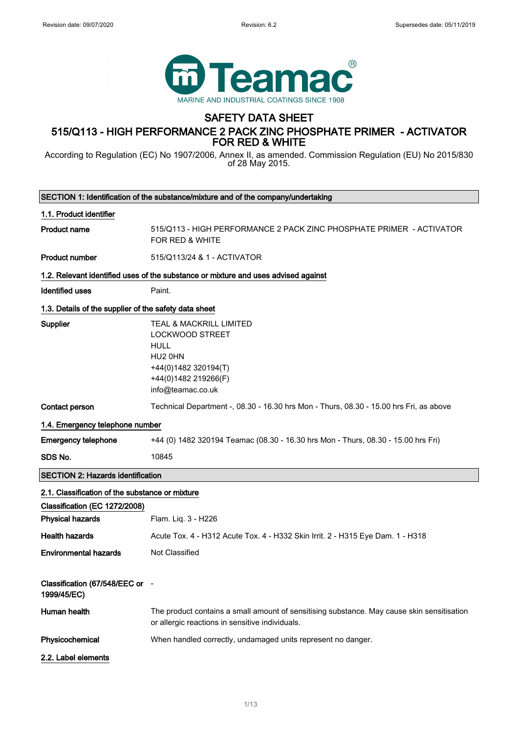$\overline{\phantom{a}}$ 



# SAFETY DATA SHEET

# 515/Q113 - HIGH PERFORMANCE 2 PACK ZINC PHOSPHATE PRIMER - ACTIVATOR FOR RED & WHITE

According to Regulation (EC) No 1907/2006, Annex II, as amended. Commission Regulation (EU) No 2015/830 of 28 May 2015.

|                                                       | SECTION 1: Identification of the substance/mixture and of the company/undertaking                                                                                       |
|-------------------------------------------------------|-------------------------------------------------------------------------------------------------------------------------------------------------------------------------|
| 1.1. Product identifier                               |                                                                                                                                                                         |
| <b>Product name</b>                                   | 515/Q113 - HIGH PERFORMANCE 2 PACK ZINC PHOSPHATE PRIMER - ACTIVATOR<br>FOR RED & WHITE                                                                                 |
| <b>Product number</b>                                 | 515/Q113/24 & 1 - ACTIVATOR                                                                                                                                             |
|                                                       | 1.2. Relevant identified uses of the substance or mixture and uses advised against                                                                                      |
| <b>Identified uses</b>                                | Paint.                                                                                                                                                                  |
| 1.3. Details of the supplier of the safety data sheet |                                                                                                                                                                         |
| Supplier                                              | <b>TEAL &amp; MACKRILL LIMITED</b><br><b>LOCKWOOD STREET</b><br><b>HULL</b><br>HU <sub>2</sub> 0HN<br>+44(0)1482 320194(T)<br>+44(0)1482 219266(F)<br>info@teamac.co.uk |
| Contact person                                        | Technical Department -, 08.30 - 16.30 hrs Mon - Thurs, 08.30 - 15.00 hrs Fri, as above                                                                                  |
| 1.4. Emergency telephone number                       |                                                                                                                                                                         |
| <b>Emergency telephone</b>                            | +44 (0) 1482 320194 Teamac (08.30 - 16.30 hrs Mon - Thurs, 08.30 - 15.00 hrs Fri)                                                                                       |
| SDS No.                                               | 10845                                                                                                                                                                   |
| <b>SECTION 2: Hazards identification</b>              |                                                                                                                                                                         |
| 2.1. Classification of the substance or mixture       |                                                                                                                                                                         |
| Classification (EC 1272/2008)                         |                                                                                                                                                                         |
| <b>Physical hazards</b>                               | Flam. Liq. 3 - H226                                                                                                                                                     |
| <b>Health hazards</b>                                 | Acute Tox. 4 - H312 Acute Tox. 4 - H332 Skin Irrit. 2 - H315 Eye Dam. 1 - H318                                                                                          |
| <b>Environmental hazards</b>                          | Not Classified                                                                                                                                                          |
| Classification (67/548/EEC or -<br>1999/45/EC)        |                                                                                                                                                                         |
| Human health                                          | The product contains a small amount of sensitising substance. May cause skin sensitisation<br>or allergic reactions in sensitive individuals.                           |
| Physicochemical                                       | When handled correctly, undamaged units represent no danger.                                                                                                            |
| 2.2. Label elements                                   |                                                                                                                                                                         |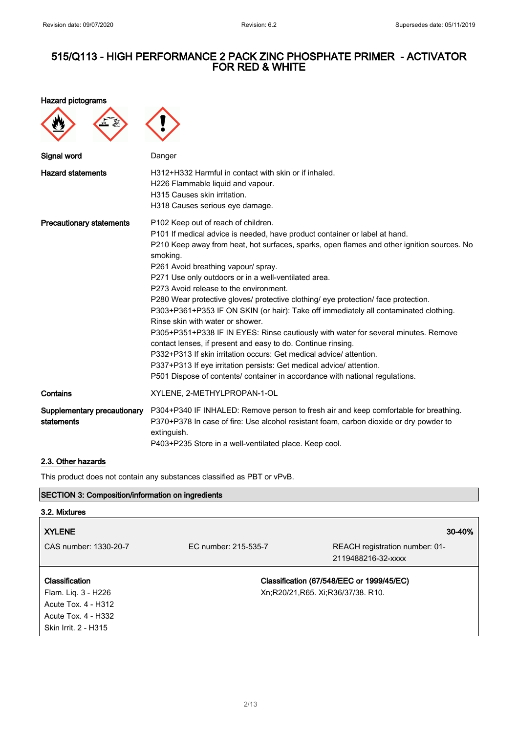Hazard pictograms

| Signal word                               | Danger                                                                                                                                                                                                                                                                                                                                                                                                                                                                                                                                                                                                                                                                                                                                                                                                                                                                                                                                                                     |
|-------------------------------------------|----------------------------------------------------------------------------------------------------------------------------------------------------------------------------------------------------------------------------------------------------------------------------------------------------------------------------------------------------------------------------------------------------------------------------------------------------------------------------------------------------------------------------------------------------------------------------------------------------------------------------------------------------------------------------------------------------------------------------------------------------------------------------------------------------------------------------------------------------------------------------------------------------------------------------------------------------------------------------|
| <b>Hazard statements</b>                  | H312+H332 Harmful in contact with skin or if inhaled.<br>H226 Flammable liquid and vapour.<br>H315 Causes skin irritation.<br>H318 Causes serious eye damage.                                                                                                                                                                                                                                                                                                                                                                                                                                                                                                                                                                                                                                                                                                                                                                                                              |
| <b>Precautionary statements</b>           | P102 Keep out of reach of children.<br>P101 If medical advice is needed, have product container or label at hand.<br>P210 Keep away from heat, hot surfaces, sparks, open flames and other ignition sources. No<br>smoking.<br>P261 Avoid breathing vapour/ spray.<br>P271 Use only outdoors or in a well-ventilated area.<br>P273 Avoid release to the environment.<br>P280 Wear protective gloves/ protective clothing/ eye protection/ face protection.<br>P303+P361+P353 IF ON SKIN (or hair): Take off immediately all contaminated clothing.<br>Rinse skin with water or shower.<br>P305+P351+P338 IF IN EYES: Rinse cautiously with water for several minutes. Remove<br>contact lenses, if present and easy to do. Continue rinsing.<br>P332+P313 If skin irritation occurs: Get medical advice/attention.<br>P337+P313 If eye irritation persists: Get medical advice/ attention.<br>P501 Dispose of contents/ container in accordance with national regulations. |
| Contains                                  | XYLENE, 2-METHYLPROPAN-1-OL                                                                                                                                                                                                                                                                                                                                                                                                                                                                                                                                                                                                                                                                                                                                                                                                                                                                                                                                                |
| Supplementary precautionary<br>statements | P304+P340 IF INHALED: Remove person to fresh air and keep comfortable for breathing.<br>P370+P378 In case of fire: Use alcohol resistant foam, carbon dioxide or dry powder to<br>extinguish.<br>P403+P235 Store in a well-ventilated place. Keep cool.                                                                                                                                                                                                                                                                                                                                                                                                                                                                                                                                                                                                                                                                                                                    |

### 2.3. Other hazards

This product does not contain any substances classified as PBT or vPvB.

## SECTION 3: Composition/information on ingredients

## 3.2. Mixtures

| <b>XYLENE</b>                                                                                               |                                   | 30-40%                                               |
|-------------------------------------------------------------------------------------------------------------|-----------------------------------|------------------------------------------------------|
| CAS number: 1330-20-7                                                                                       | EC number: 215-535-7              | REACH registration number: 01-<br>2119488216-32-xxxx |
| Classification<br>Flam. Liq. 3 - H226<br>Acute Tox. 4 - H312<br>Acute Tox. 4 - H332<br>Skin Irrit. 2 - H315 | Xn;R20/21,R65. Xi;R36/37/38. R10. | Classification (67/548/EEC or 1999/45/EC)            |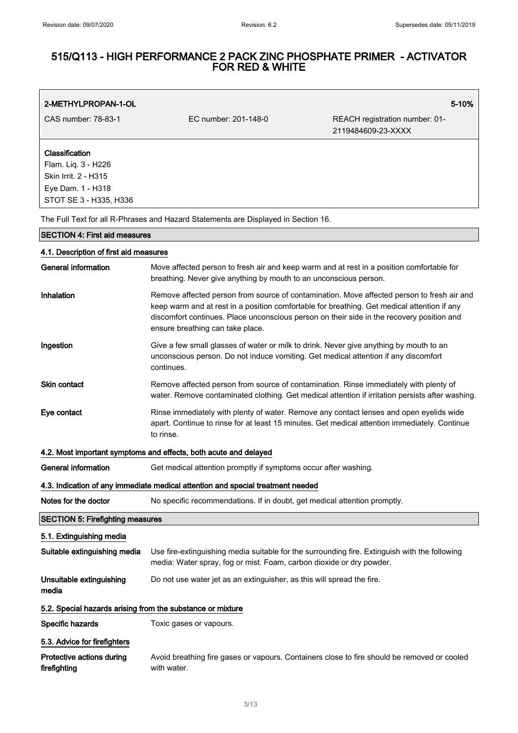# 515/Q113 - HIGH PERFORMANCE 2 PACK ZINC PHOSPHATE PRIMER - ACTIVATOR FOR RED & WHITE

| 2-METHYLPROPAN-1-OL                                                                                          |                                                                                                                                                                                                                                                                                                                            | 5-10%                                                |
|--------------------------------------------------------------------------------------------------------------|----------------------------------------------------------------------------------------------------------------------------------------------------------------------------------------------------------------------------------------------------------------------------------------------------------------------------|------------------------------------------------------|
| CAS number: 78-83-1                                                                                          | EC number: 201-148-0                                                                                                                                                                                                                                                                                                       | REACH registration number: 01-<br>2119484609-23-XXXX |
| Classification<br>Flam. Liq. 3 - H226<br>Skin Irrit. 2 - H315<br>Eye Dam. 1 - H318<br>STOT SE 3 - H335, H336 |                                                                                                                                                                                                                                                                                                                            |                                                      |
|                                                                                                              | The Full Text for all R-Phrases and Hazard Statements are Displayed in Section 16.                                                                                                                                                                                                                                         |                                                      |
| <b>SECTION 4: First aid measures</b>                                                                         |                                                                                                                                                                                                                                                                                                                            |                                                      |
| 4.1. Description of first aid measures                                                                       |                                                                                                                                                                                                                                                                                                                            |                                                      |
| <b>General information</b>                                                                                   | Move affected person to fresh air and keep warm and at rest in a position comfortable for<br>breathing. Never give anything by mouth to an unconscious person.                                                                                                                                                             |                                                      |
| Inhalation                                                                                                   | Remove affected person from source of contamination. Move affected person to fresh air and<br>keep warm and at rest in a position comfortable for breathing. Get medical attention if any<br>discomfort continues. Place unconscious person on their side in the recovery position and<br>ensure breathing can take place. |                                                      |
| Ingestion                                                                                                    | Give a few small glasses of water or milk to drink. Never give anything by mouth to an<br>unconscious person. Do not induce vomiting. Get medical attention if any discomfort<br>continues.                                                                                                                                |                                                      |
| <b>Skin contact</b>                                                                                          | Remove affected person from source of contamination. Rinse immediately with plenty of<br>water. Remove contaminated clothing. Get medical attention if irritation persists after washing.                                                                                                                                  |                                                      |
| Eye contact                                                                                                  | Rinse immediately with plenty of water. Remove any contact lenses and open eyelids wide<br>apart. Continue to rinse for at least 15 minutes. Get medical attention immediately. Continue<br>to rinse.                                                                                                                      |                                                      |
|                                                                                                              | 4.2. Most important symptoms and effects, both acute and delayed                                                                                                                                                                                                                                                           |                                                      |
| <b>General information</b>                                                                                   | Get medical attention promptly if symptoms occur after washing.                                                                                                                                                                                                                                                            |                                                      |
|                                                                                                              | 4.3. Indication of any immediate medical attention and special treatment needed                                                                                                                                                                                                                                            |                                                      |
| Notes for the doctor                                                                                         | No specific recommendations. If in doubt, get medical attention promptly.                                                                                                                                                                                                                                                  |                                                      |
| <b>SECTION 5: Firefighting measures</b>                                                                      |                                                                                                                                                                                                                                                                                                                            |                                                      |
| 5.1. Extinguishing media                                                                                     |                                                                                                                                                                                                                                                                                                                            |                                                      |
| Suitable extinguishing media                                                                                 | Use fire-extinguishing media suitable for the surrounding fire. Extinguish with the following<br>media: Water spray, fog or mist. Foam, carbon dioxide or dry powder.                                                                                                                                                      |                                                      |
| Unsuitable extinguishing<br>media                                                                            | Do not use water jet as an extinguisher, as this will spread the fire.                                                                                                                                                                                                                                                     |                                                      |
| 5.2. Special hazards arising from the substance or mixture                                                   |                                                                                                                                                                                                                                                                                                                            |                                                      |
| Specific hazards                                                                                             | Toxic gases or vapours.                                                                                                                                                                                                                                                                                                    |                                                      |
| 5.3. Advice for firefighters                                                                                 |                                                                                                                                                                                                                                                                                                                            |                                                      |
| Protective actions during<br>firefighting                                                                    | Avoid breathing fire gases or vapours. Containers close to fire should be removed or cooled<br>with water.                                                                                                                                                                                                                 |                                                      |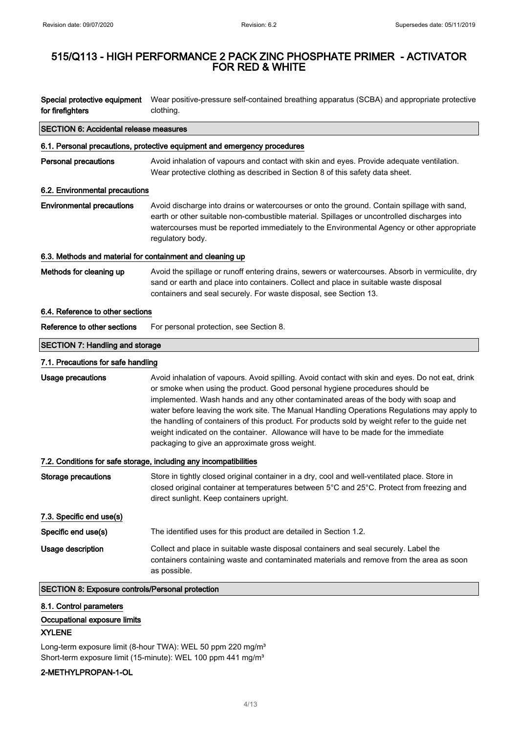| for firefighters                                          | Special protective equipment Wear positive-pressure self-contained breathing apparatus (SCBA) and appropriate protective<br>clothing.                                                                                                                                                                                                                                                                                                                                                                                                                                                                           |
|-----------------------------------------------------------|-----------------------------------------------------------------------------------------------------------------------------------------------------------------------------------------------------------------------------------------------------------------------------------------------------------------------------------------------------------------------------------------------------------------------------------------------------------------------------------------------------------------------------------------------------------------------------------------------------------------|
| <b>SECTION 6: Accidental release measures</b>             |                                                                                                                                                                                                                                                                                                                                                                                                                                                                                                                                                                                                                 |
|                                                           | 6.1. Personal precautions, protective equipment and emergency procedures                                                                                                                                                                                                                                                                                                                                                                                                                                                                                                                                        |
| <b>Personal precautions</b>                               | Avoid inhalation of vapours and contact with skin and eyes. Provide adequate ventilation.<br>Wear protective clothing as described in Section 8 of this safety data sheet.                                                                                                                                                                                                                                                                                                                                                                                                                                      |
| 6.2. Environmental precautions                            |                                                                                                                                                                                                                                                                                                                                                                                                                                                                                                                                                                                                                 |
| <b>Environmental precautions</b>                          | Avoid discharge into drains or watercourses or onto the ground. Contain spillage with sand,<br>earth or other suitable non-combustible material. Spillages or uncontrolled discharges into<br>watercourses must be reported immediately to the Environmental Agency or other appropriate<br>regulatory body.                                                                                                                                                                                                                                                                                                    |
| 6.3. Methods and material for containment and cleaning up |                                                                                                                                                                                                                                                                                                                                                                                                                                                                                                                                                                                                                 |
| Methods for cleaning up                                   | Avoid the spillage or runoff entering drains, sewers or watercourses. Absorb in vermiculite, dry<br>sand or earth and place into containers. Collect and place in suitable waste disposal<br>containers and seal securely. For waste disposal, see Section 13.                                                                                                                                                                                                                                                                                                                                                  |
| 6.4. Reference to other sections                          |                                                                                                                                                                                                                                                                                                                                                                                                                                                                                                                                                                                                                 |
| Reference to other sections                               | For personal protection, see Section 8.                                                                                                                                                                                                                                                                                                                                                                                                                                                                                                                                                                         |
| <b>SECTION 7: Handling and storage</b>                    |                                                                                                                                                                                                                                                                                                                                                                                                                                                                                                                                                                                                                 |
| 7.1. Precautions for safe handling                        |                                                                                                                                                                                                                                                                                                                                                                                                                                                                                                                                                                                                                 |
| <b>Usage precautions</b>                                  | Avoid inhalation of vapours. Avoid spilling. Avoid contact with skin and eyes. Do not eat, drink<br>or smoke when using the product. Good personal hygiene procedures should be<br>implemented. Wash hands and any other contaminated areas of the body with soap and<br>water before leaving the work site. The Manual Handling Operations Regulations may apply to<br>the handling of containers of this product. For products sold by weight refer to the guide net<br>weight indicated on the container. Allowance will have to be made for the immediate<br>packaging to give an approximate gross weight. |
|                                                           | 7.2. Conditions for safe storage, including any incompatibilities                                                                                                                                                                                                                                                                                                                                                                                                                                                                                                                                               |
| <b>Storage precautions</b>                                | Store in tightly closed original container in a dry, cool and well-ventilated place. Store in<br>closed original container at temperatures between 5°C and 25°C. Protect from freezing and<br>direct sunlight. Keep containers upright.                                                                                                                                                                                                                                                                                                                                                                         |
| 7.3. Specific end use(s)                                  |                                                                                                                                                                                                                                                                                                                                                                                                                                                                                                                                                                                                                 |
| Specific end use(s)                                       | The identified uses for this product are detailed in Section 1.2.                                                                                                                                                                                                                                                                                                                                                                                                                                                                                                                                               |
| Usage description                                         | Collect and place in suitable waste disposal containers and seal securely. Label the<br>containers containing waste and contaminated materials and remove from the area as soon<br>as possible.                                                                                                                                                                                                                                                                                                                                                                                                                 |
| SECTION 8: Exposure controls/Personal protection          |                                                                                                                                                                                                                                                                                                                                                                                                                                                                                                                                                                                                                 |

## 8.1. Control parameters

## Occupational exposure limits

## XYLENE

Long-term exposure limit (8-hour TWA): WEL 50 ppm 220 mg/m<sup>3</sup> Short-term exposure limit (15-minute): WEL 100 ppm 441 mg/m<sup>3</sup>

## 2-METHYLPROPAN-1-OL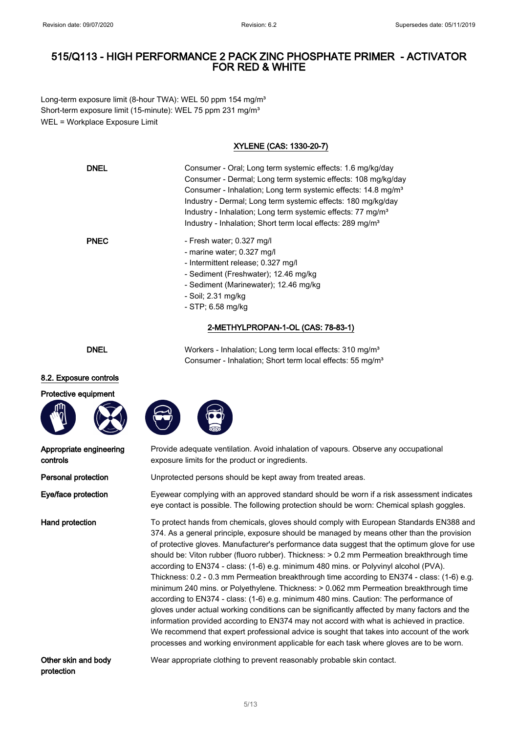Long-term exposure limit (8-hour TWA): WEL 50 ppm 154 mg/m<sup>3</sup> Short-term exposure limit (15-minute): WEL 75 ppm 231 mg/m<sup>3</sup> WEL = Workplace Exposure Limit

## XYLENE (CAS: 1330-20-7)

| DNEL        | Consumer - Oral: Long term systemic effects: 1.6 mg/kg/day<br>Consumer - Dermal; Long term systemic effects: 108 mg/kg/day<br>Consumer - Inhalation; Long term systemic effects: 14.8 mg/m <sup>3</sup><br>Industry - Dermal; Long term systemic effects: 180 mg/kg/day<br>Industry - Inhalation; Long term systemic effects: 77 mg/m <sup>3</sup><br>Industry - Inhalation; Short term local effects: 289 mg/m <sup>3</sup> |
|-------------|------------------------------------------------------------------------------------------------------------------------------------------------------------------------------------------------------------------------------------------------------------------------------------------------------------------------------------------------------------------------------------------------------------------------------|
| <b>PNEC</b> | - Fresh water: 0.327 mg/l<br>- marine water; 0.327 mg/l<br>- Intermittent release; 0.327 mg/l<br>- Sediment (Freshwater); 12.46 mg/kg<br>- Sediment (Marinewater); 12.46 mg/kg<br>- Soil: 2.31 mg/kg<br>- STP: 6.58 mg/kg                                                                                                                                                                                                    |

## 2-METHYLPROPAN-1-OL (CAS: 78-83-1)

Consumer - Inhalation; Short term local effects: 55 mg/m<sup>3</sup>

DNEL Workers - Inhalation; Long term local effects: 310 mg/m<sup>3</sup>

#### 8.2. Exposure controls





| Appropriate engineering |  |
|-------------------------|--|
| controls                |  |

Provide adequate ventilation. Avoid inhalation of vapours. Observe any occupational exposure limits for the product or ingredients.

**Personal protection** Unprotected persons should be kept away from treated areas.

Eye/face protection Eyewear complying with an approved standard should be worn if a risk assessment indicates eye contact is possible. The following protection should be worn: Chemical splash goggles.

Hand protection To protect hands from chemicals, gloves should comply with European Standards EN388 and 374. As a general principle, exposure should be managed by means other than the provision of protective gloves. Manufacturer's performance data suggest that the optimum glove for use should be: Viton rubber (fluoro rubber). Thickness: > 0.2 mm Permeation breakthrough time according to EN374 - class: (1-6) e.g. minimum 480 mins. or Polyvinyl alcohol (PVA). Thickness: 0.2 - 0.3 mm Permeation breakthrough time according to EN374 - class: (1-6) e.g. minimum 240 mins. or Polyethylene. Thickness: > 0.062 mm Permeation breakthrough time according to EN374 - class: (1-6) e.g. minimum 480 mins. Caution: The performance of gloves under actual working conditions can be significantly affected by many factors and the information provided according to EN374 may not accord with what is achieved in practice. We recommend that expert professional advice is sought that takes into account of the work processes and working environment applicable for each task where gloves are to be worn.

Other skin and body protection

Wear appropriate clothing to prevent reasonably probable skin contact.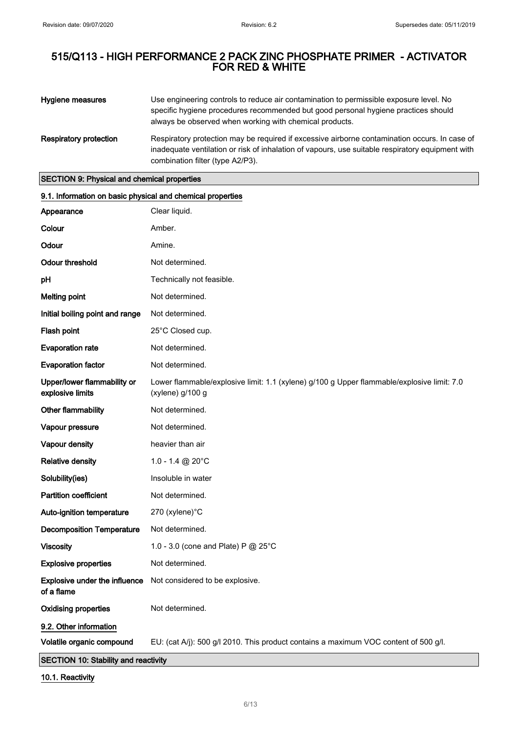| Hygiene measures              | Use engineering controls to reduce air contamination to permissible exposure level. No<br>specific hygiene procedures recommended but good personal hygiene practices should<br>always be observed when working with chemical products. |
|-------------------------------|-----------------------------------------------------------------------------------------------------------------------------------------------------------------------------------------------------------------------------------------|
| <b>Respiratory protection</b> | Respiratory protection may be required if excessive airborne contamination occurs. In case of<br>inadequate ventilation or risk of inhalation of vapours, use suitable respiratory equipment with<br>combination filter (type A2/P3).   |

SECTION 9: Physical and chemical properties

| 9.1. Information on basic physical and chemical properties |                                                                                                                |
|------------------------------------------------------------|----------------------------------------------------------------------------------------------------------------|
| Appearance                                                 | Clear liquid.                                                                                                  |
| Colour                                                     | Amber.                                                                                                         |
| Odour                                                      | Amine.                                                                                                         |
| <b>Odour threshold</b>                                     | Not determined.                                                                                                |
| pH                                                         | Technically not feasible.                                                                                      |
| <b>Melting point</b>                                       | Not determined.                                                                                                |
| Initial boiling point and range                            | Not determined.                                                                                                |
| Flash point                                                | 25°C Closed cup.                                                                                               |
| <b>Evaporation rate</b>                                    | Not determined.                                                                                                |
| <b>Evaporation factor</b>                                  | Not determined.                                                                                                |
| Upper/lower flammability or<br>explosive limits            | Lower flammable/explosive limit: 1.1 (xylene) g/100 g Upper flammable/explosive limit: 7.0<br>(xylene) g/100 g |
| Other flammability                                         | Not determined.                                                                                                |
| Vapour pressure                                            | Not determined.                                                                                                |
| Vapour density                                             | heavier than air                                                                                               |
| <b>Relative density</b>                                    | $1.0 - 1.4 \text{ } @$ 20°C                                                                                    |
| Solubility(ies)                                            | Insoluble in water                                                                                             |
| <b>Partition coefficient</b>                               | Not determined.                                                                                                |
| Auto-ignition temperature                                  | 270 (xylene)°C                                                                                                 |
| <b>Decomposition Temperature</b>                           | Not determined.                                                                                                |
| <b>Viscosity</b>                                           | 1.0 - 3.0 (cone and Plate) P @ 25°C                                                                            |
| <b>Explosive properties</b>                                | Not determined.                                                                                                |
| of a flame                                                 | Explosive under the influence Not considered to be explosive.                                                  |
| <b>Oxidising properties</b>                                | Not determined.                                                                                                |
| 9.2. Other information                                     |                                                                                                                |
| Volatile organic compound                                  | EU: (cat A/j): 500 g/l 2010. This product contains a maximum VOC content of 500 g/l.                           |

# SECTION 10: Stability and reactivity

10.1. Reactivity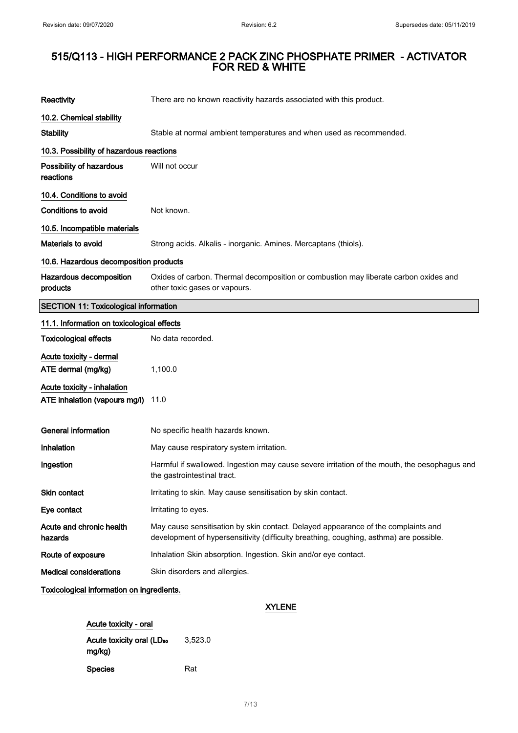| Reactivity                                                   | There are no known reactivity hazards associated with this product.                                                                                                         |
|--------------------------------------------------------------|-----------------------------------------------------------------------------------------------------------------------------------------------------------------------------|
| 10.2. Chemical stability                                     |                                                                                                                                                                             |
| <b>Stability</b>                                             | Stable at normal ambient temperatures and when used as recommended.                                                                                                         |
| 10.3. Possibility of hazardous reactions                     |                                                                                                                                                                             |
| Possibility of hazardous<br>reactions                        | Will not occur                                                                                                                                                              |
| 10.4. Conditions to avoid                                    |                                                                                                                                                                             |
| <b>Conditions to avoid</b>                                   | Not known.                                                                                                                                                                  |
| 10.5. Incompatible materials                                 |                                                                                                                                                                             |
| Materials to avoid                                           | Strong acids. Alkalis - inorganic. Amines. Mercaptans (thiols).                                                                                                             |
| 10.6. Hazardous decomposition products                       |                                                                                                                                                                             |
| Hazardous decomposition<br>products                          | Oxides of carbon. Thermal decomposition or combustion may liberate carbon oxides and<br>other toxic gases or vapours.                                                       |
| <b>SECTION 11: Toxicological information</b>                 |                                                                                                                                                                             |
| 11.1. Information on toxicological effects                   |                                                                                                                                                                             |
| <b>Toxicological effects</b>                                 | No data recorded.                                                                                                                                                           |
| Acute toxicity - dermal<br>ATE dermal (mg/kg)                | 1,100.0                                                                                                                                                                     |
| Acute toxicity - inhalation<br>ATE inhalation (vapours mg/l) | 11.0                                                                                                                                                                        |
| <b>General information</b>                                   | No specific health hazards known.                                                                                                                                           |
| Inhalation                                                   | May cause respiratory system irritation.                                                                                                                                    |
| Ingestion                                                    | Harmful if swallowed. Ingestion may cause severe irritation of the mouth, the oesophagus and<br>the gastrointestinal tract.                                                 |
| Skin contact                                                 | Irritating to skin. May cause sensitisation by skin contact.                                                                                                                |
| Eye contact                                                  | Irritating to eyes.                                                                                                                                                         |
| Acute and chronic health<br>hazards                          | May cause sensitisation by skin contact. Delayed appearance of the complaints and<br>development of hypersensitivity (difficulty breathing, coughing, asthma) are possible. |
| Route of exposure                                            | Inhalation Skin absorption. Ingestion. Skin and/or eye contact.                                                                                                             |
| <b>Medical considerations</b>                                | Skin disorders and allergies.                                                                                                                                               |
| Toxicological information on ingredients.                    |                                                                                                                                                                             |

## XYLENE

| Acute toxicity - oral                           |         |
|-------------------------------------------------|---------|
| Acute toxicity oral (LD <sub>50</sub><br>mg/kg) | 3,523.0 |
| Species                                         | Rat     |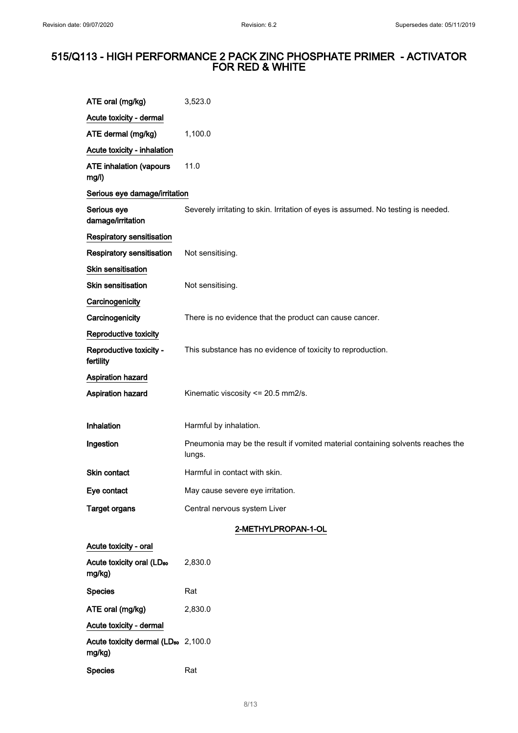| ATE oral (mg/kg)                                          | 3,523.0                                                                                   |
|-----------------------------------------------------------|-------------------------------------------------------------------------------------------|
| Acute toxicity - dermal                                   |                                                                                           |
| ATE dermal (mg/kg)                                        | 1,100.0                                                                                   |
| Acute toxicity - inhalation                               |                                                                                           |
| <b>ATE inhalation (vapours</b><br>mg/l)                   | 11.0                                                                                      |
| Serious eye damage/irritation                             |                                                                                           |
| Serious eye<br>damage/irritation                          | Severely irritating to skin. Irritation of eyes is assumed. No testing is needed.         |
| Respiratory sensitisation                                 |                                                                                           |
| <b>Respiratory sensitisation</b>                          | Not sensitising.                                                                          |
| Skin sensitisation                                        |                                                                                           |
| <b>Skin sensitisation</b>                                 | Not sensitising.                                                                          |
| Carcinogenicity                                           |                                                                                           |
| Carcinogenicity                                           | There is no evidence that the product can cause cancer.                                   |
| Reproductive toxicity                                     |                                                                                           |
| Reproductive toxicity -<br>fertility                      | This substance has no evidence of toxicity to reproduction.                               |
| Aspiration hazard                                         |                                                                                           |
| Aspiration hazard                                         | Kinematic viscosity <= 20.5 mm2/s.                                                        |
| Inhalation                                                | Harmful by inhalation.                                                                    |
| Ingestion                                                 | Pneumonia may be the result if vomited material containing solvents reaches the<br>lungs. |
| Skin contact                                              | Harmful in contact with skin.                                                             |
| Eye contact                                               | May cause severe eye irritation.                                                          |
| <b>Target organs</b>                                      | Central nervous system Liver                                                              |
|                                                           | 2-METHYLPROPAN-1-OL                                                                       |
| Acute toxicity - oral                                     |                                                                                           |
| Acute toxicity oral (LD <sub>50</sub><br>mg/kg)           | 2,830.0                                                                                   |
| <b>Species</b>                                            | Rat                                                                                       |
| ATE oral (mg/kg)                                          | 2,830.0                                                                                   |
| Acute toxicity - dermal                                   |                                                                                           |
| Acute toxicity dermal (LD <sub>50</sub> 2,100.0<br>mg/kg) |                                                                                           |
| <b>Species</b>                                            | Rat                                                                                       |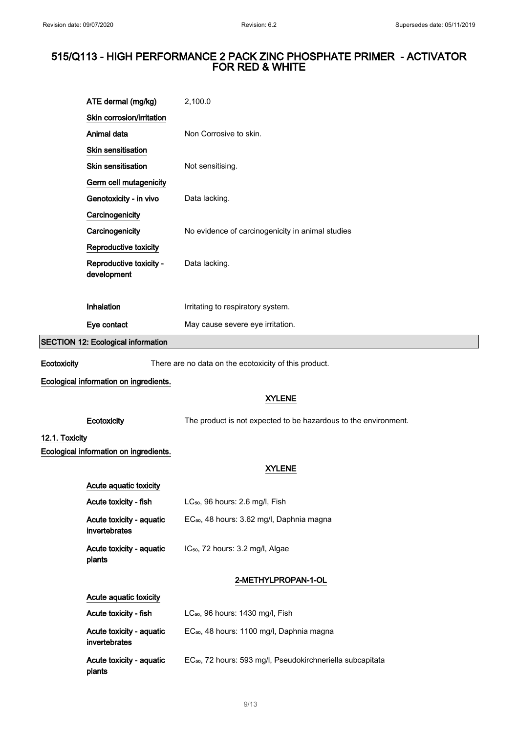|                                           | ATE dermal (mg/kg)                        | 2,100.0                                                                |  |  |  |
|-------------------------------------------|-------------------------------------------|------------------------------------------------------------------------|--|--|--|
|                                           | Skin corrosion/irritation                 |                                                                        |  |  |  |
|                                           | Animal data                               | Non Corrosive to skin.                                                 |  |  |  |
|                                           | Skin sensitisation                        |                                                                        |  |  |  |
|                                           | Skin sensitisation                        | Not sensitising.                                                       |  |  |  |
|                                           | Germ cell mutagenicity                    |                                                                        |  |  |  |
|                                           | Genotoxicity - in vivo                    | Data lacking.                                                          |  |  |  |
|                                           | Carcinogenicity                           |                                                                        |  |  |  |
|                                           | Carcinogenicity                           | No evidence of carcinogenicity in animal studies                       |  |  |  |
|                                           | Reproductive toxicity                     |                                                                        |  |  |  |
|                                           | Reproductive toxicity -<br>development    | Data lacking.                                                          |  |  |  |
|                                           |                                           |                                                                        |  |  |  |
|                                           | Inhalation                                | Irritating to respiratory system.                                      |  |  |  |
|                                           | Eye contact                               | May cause severe eye irritation.                                       |  |  |  |
| <b>SECTION 12: Ecological information</b> |                                           |                                                                        |  |  |  |
| Ecotoxicity                               |                                           | There are no data on the ecotoxicity of this product.                  |  |  |  |
|                                           | Ecological information on ingredients.    |                                                                        |  |  |  |
|                                           |                                           | <b>XYLENE</b>                                                          |  |  |  |
|                                           | Ecotoxicity                               | The product is not expected to be hazardous to the environment.        |  |  |  |
| 12.1. Toxicity                            |                                           |                                                                        |  |  |  |
|                                           | Ecological information on ingredients.    |                                                                        |  |  |  |
|                                           |                                           | <b>XYLENE</b>                                                          |  |  |  |
|                                           | Acute aquatic toxicity                    |                                                                        |  |  |  |
|                                           | Acute toxicity - fish                     | LC <sub>50</sub> , 96 hours: 2.6 mg/l, Fish                            |  |  |  |
|                                           | Acute toxicity - aquatic<br>invertebrates | EC <sub>50</sub> , 48 hours: 3.62 mg/l, Daphnia magna                  |  |  |  |
|                                           | Acute toxicity - aquatic<br>plants        | IC <sub>50</sub> , 72 hours: 3.2 mg/l, Algae                           |  |  |  |
|                                           |                                           | 2-METHYLPROPAN-1-OL                                                    |  |  |  |
|                                           | Acute aquatic toxicity                    |                                                                        |  |  |  |
|                                           | Acute toxicity - fish                     | LC <sub>50</sub> , 96 hours: 1430 mg/l, Fish                           |  |  |  |
|                                           | Acute toxicity - aquatic<br>invertebrates | EC <sub>50</sub> , 48 hours: 1100 mg/l, Daphnia magna                  |  |  |  |
|                                           | Acute toxicity - aquatic<br>plants        | EC <sub>50</sub> , 72 hours: 593 mg/l, Pseudokirchneriella subcapitata |  |  |  |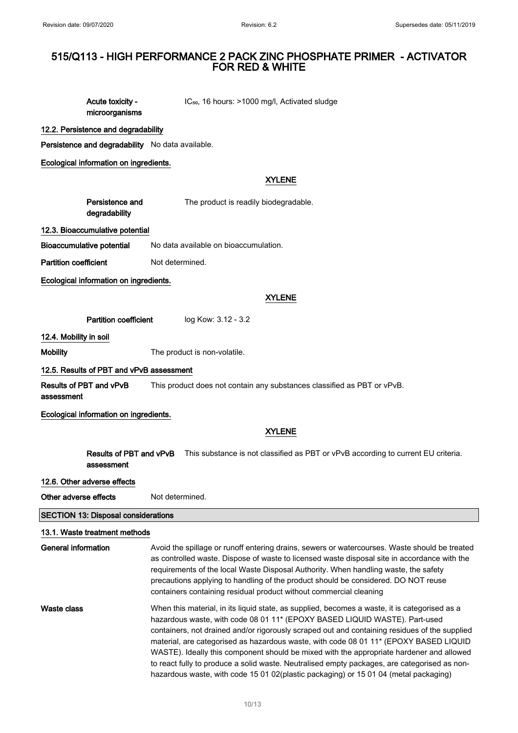Acute toxicity microorganisms IC<sub>50</sub>, 16 hours: >1000 mg/l, Activated sludge

#### 12.2. Persistence and degradability

Persistence and degradability No data available.

Ecological information on ingredients.

#### XYLENE

| Persistence and | The product is readily biodegradable. |
|-----------------|---------------------------------------|
| degradability   |                                       |

12.3. Bioaccumulative potential

Bioaccumulative potential No data available on bioaccumulation.

Partition coefficient Not determined.

Ecological information on ingredients.

#### XYLENE

Partition coefficient log Kow: 3.12 - 3.2

12.4. Mobility in soil

Mobility **Mobility** The product is non-volatile.

#### 12.5. Results of PBT and vPvB assessment

Results of PBT and vPvB assessment This product does not contain any substances classified as PBT or vPvB.

Ecological information on ingredients.

### XYLENE

|                       | Results of PBT and vPvB<br>assessment      | This substance is not classified as PBT or vPvB according to current EU criteria.                                                                                                                                                                                                                                                                                                                                                                                                                                                                                                                                                                                     |  |
|-----------------------|--------------------------------------------|-----------------------------------------------------------------------------------------------------------------------------------------------------------------------------------------------------------------------------------------------------------------------------------------------------------------------------------------------------------------------------------------------------------------------------------------------------------------------------------------------------------------------------------------------------------------------------------------------------------------------------------------------------------------------|--|
|                       | 12.6. Other adverse effects                |                                                                                                                                                                                                                                                                                                                                                                                                                                                                                                                                                                                                                                                                       |  |
| Other adverse effects |                                            | Not determined.                                                                                                                                                                                                                                                                                                                                                                                                                                                                                                                                                                                                                                                       |  |
|                       | <b>SECTION 13: Disposal considerations</b> |                                                                                                                                                                                                                                                                                                                                                                                                                                                                                                                                                                                                                                                                       |  |
|                       | 13.1. Waste treatment methods              |                                                                                                                                                                                                                                                                                                                                                                                                                                                                                                                                                                                                                                                                       |  |
| General information   |                                            | Avoid the spillage or runoff entering drains, sewers or watercourses. Waste should be treated<br>as controlled waste. Dispose of waste to licensed waste disposal site in accordance with the<br>requirements of the local Waste Disposal Authority. When handling waste, the safety<br>precautions applying to handling of the product should be considered. DO NOT reuse<br>containers containing residual product without commercial cleaning                                                                                                                                                                                                                      |  |
| Waste class           |                                            | When this material, in its liquid state, as supplied, becomes a waste, it is categorised as a<br>hazardous waste, with code 08 01 11 <sup>*</sup> (EPOXY BASED LIQUID WASTE). Part-used<br>containers, not drained and/or rigorously scraped out and containing residues of the supplied<br>material, are categorised as hazardous waste, with code 08 01 11* (EPOXY BASED LIQUID<br>WASTE). Ideally this component should be mixed with the appropriate hardener and allowed<br>to react fully to produce a solid waste. Neutralised empty packages, are categorised as non-<br>hazardous waste, with code 15 01 02(plastic packaging) or 15 01 04 (metal packaging) |  |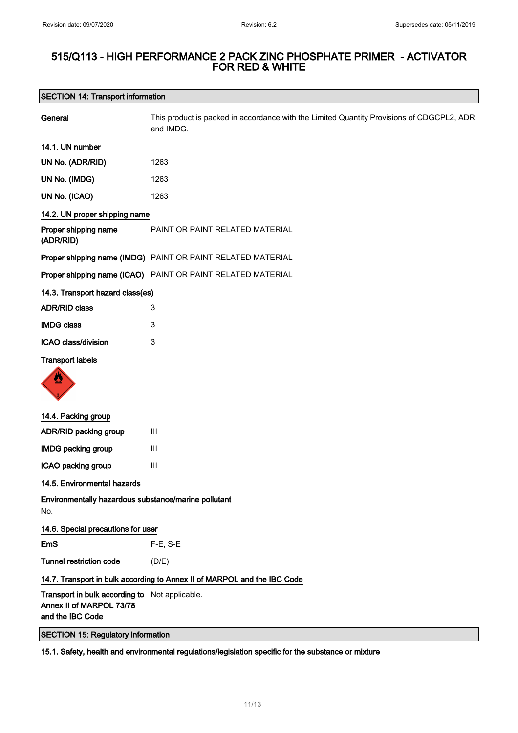## SECTION 14: Transport information

| General                                                                                        | This product is packed in accordance with the Limited Quantity Provisions of CDGCPL2, ADR<br>and IMDG. |
|------------------------------------------------------------------------------------------------|--------------------------------------------------------------------------------------------------------|
| 14.1. UN number                                                                                |                                                                                                        |
| UN No. (ADR/RID)                                                                               | 1263                                                                                                   |
| UN No. (IMDG)                                                                                  | 1263                                                                                                   |
| UN No. (ICAO)                                                                                  | 1263                                                                                                   |
| 14.2. UN proper shipping name                                                                  |                                                                                                        |
| Proper shipping name<br>(ADR/RID)                                                              | PAINT OR PAINT RELATED MATERIAL                                                                        |
|                                                                                                | Proper shipping name (IMDG) PAINT OR PAINT RELATED MATERIAL                                            |
|                                                                                                | Proper shipping name (ICAO) PAINT OR PAINT RELATED MATERIAL                                            |
| 14.3. Transport hazard class(es)                                                               |                                                                                                        |
| <b>ADR/RID class</b>                                                                           | 3                                                                                                      |
| <b>IMDG class</b>                                                                              | 3                                                                                                      |
| ICAO class/division                                                                            | 3                                                                                                      |
| <b>Transport labels</b>                                                                        |                                                                                                        |
| 14.4. Packing group                                                                            |                                                                                                        |
| ADR/RID packing group                                                                          | Ш                                                                                                      |
| <b>IMDG packing group</b>                                                                      | Ш                                                                                                      |
| ICAO packing group                                                                             | $\mathbf{III}$                                                                                         |
| 14.5. Environmental hazards                                                                    |                                                                                                        |
| Environmentally hazardous substance/marine pollutant<br>No.                                    |                                                                                                        |
| 14.6. Special precautions for user                                                             |                                                                                                        |
| <b>EmS</b>                                                                                     | F-E, S-E                                                                                               |
| <b>Tunnel restriction code</b>                                                                 | (D/E)                                                                                                  |
|                                                                                                | 14.7. Transport in bulk according to Annex II of MARPOL and the IBC Code                               |
| Transport in bulk according to Not applicable.<br>Annex II of MARPOL 73/78<br>and the IBC Code |                                                                                                        |
| <b>SECTION 15: Regulatory information</b>                                                      |                                                                                                        |

15.1. Safety, health and environmental regulations/legislation specific for the substance or mixture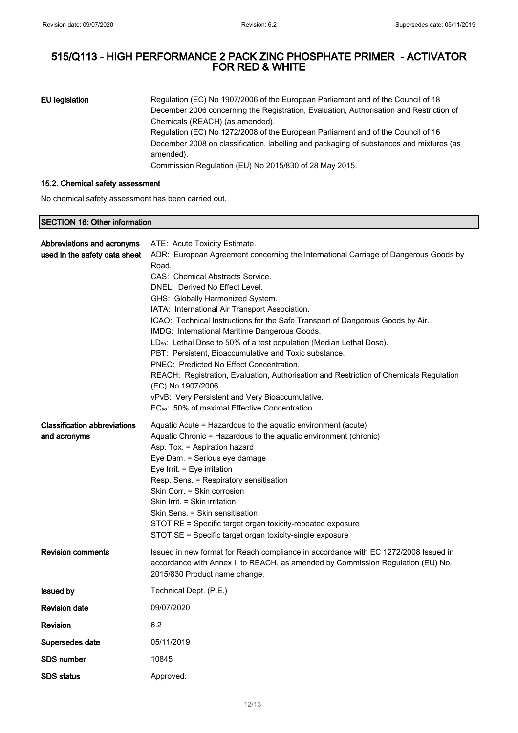EU legislation Regulation (EC) No 1907/2006 of the European Parliament and of the Council of 18 December 2006 concerning the Registration, Evaluation, Authorisation and Restriction of Chemicals (REACH) (as amended). Regulation (EC) No 1272/2008 of the European Parliament and of the Council of 16 December 2008 on classification, labelling and packaging of substances and mixtures (as amended). Commission Regulation (EU) No 2015/830 of 28 May 2015.

#### 15.2. Chemical safety assessment

No chemical safety assessment has been carried out.

#### SECTION 16: Other information

| Abbreviations and acronyms          | ATE: Acute Toxicity Estimate.                                                                                |  |
|-------------------------------------|--------------------------------------------------------------------------------------------------------------|--|
| used in the safety data sheet       | ADR: European Agreement concerning the International Carriage of Dangerous Goods by                          |  |
|                                     | Road.                                                                                                        |  |
|                                     | CAS: Chemical Abstracts Service.                                                                             |  |
|                                     | DNEL: Derived No Effect Level.                                                                               |  |
|                                     | GHS: Globally Harmonized System.                                                                             |  |
|                                     | IATA: International Air Transport Association.                                                               |  |
|                                     | ICAO: Technical Instructions for the Safe Transport of Dangerous Goods by Air.                               |  |
|                                     | IMDG: International Maritime Dangerous Goods.                                                                |  |
|                                     | LD <sub>50</sub> : Lethal Dose to 50% of a test population (Median Lethal Dose).                             |  |
|                                     | PBT: Persistent, Bioaccumulative and Toxic substance.                                                        |  |
|                                     | PNEC: Predicted No Effect Concentration.                                                                     |  |
|                                     | REACH: Registration, Evaluation, Authorisation and Restriction of Chemicals Regulation<br>(EC) No 1907/2006. |  |
|                                     | vPvB: Very Persistent and Very Bioaccumulative.                                                              |  |
|                                     | EC <sub>50</sub> : 50% of maximal Effective Concentration.                                                   |  |
| <b>Classification abbreviations</b> | Aquatic Acute = Hazardous to the aquatic environment (acute)                                                 |  |
| and acronyms                        | Aquatic Chronic = Hazardous to the aquatic environment (chronic)                                             |  |
|                                     | Asp. Tox. = Aspiration hazard                                                                                |  |
|                                     | Eye Dam. = Serious eye damage                                                                                |  |
|                                     | Eye Irrit. = Eye irritation                                                                                  |  |
|                                     | Resp. Sens. = Respiratory sensitisation                                                                      |  |
|                                     | Skin Corr. = Skin corrosion                                                                                  |  |
|                                     | Skin Irrit. = Skin irritation                                                                                |  |
|                                     | Skin Sens. = Skin sensitisation                                                                              |  |
|                                     | STOT RE = Specific target organ toxicity-repeated exposure                                                   |  |
|                                     | STOT SE = Specific target organ toxicity-single exposure                                                     |  |
| <b>Revision comments</b>            | Issued in new format for Reach compliance in accordance with EC 1272/2008 Issued in                          |  |
|                                     | accordance with Annex II to REACH, as amended by Commission Regulation (EU) No.                              |  |
|                                     | 2015/830 Product name change.                                                                                |  |
|                                     |                                                                                                              |  |
| <b>Issued by</b>                    | Technical Dept. (P.E.)                                                                                       |  |
| <b>Revision date</b>                | 09/07/2020                                                                                                   |  |
| <b>Revision</b>                     | 6.2                                                                                                          |  |
| Supersedes date                     | 05/11/2019                                                                                                   |  |
| SDS number                          | 10845                                                                                                        |  |
| <b>SDS</b> status                   | Approved.                                                                                                    |  |